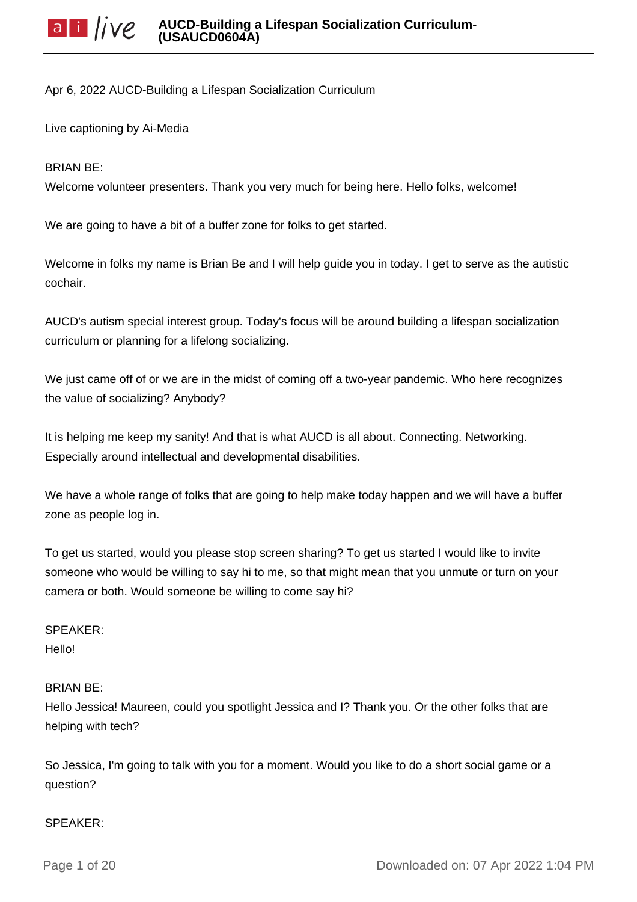Apr 6, 2022 AUCD-Building a Lifespan Socialization Curriculum

Live captioning by Ai-Media

## BRIAN BE:

Welcome volunteer presenters. Thank you very much for being here. Hello folks, welcome!

We are going to have a bit of a buffer zone for folks to get started.

Welcome in folks my name is Brian Be and I will help guide you in today. I get to serve as the autistic cochair.

AUCD's autism special interest group. Today's focus will be around building a lifespan socialization curriculum or planning for a lifelong socializing.

We just came off of or we are in the midst of coming off a two-year pandemic. Who here recognizes the value of socializing? Anybody?

It is helping me keep my sanity! And that is what AUCD is all about. Connecting. Networking. Especially around intellectual and developmental disabilities.

We have a whole range of folks that are going to help make today happen and we will have a buffer zone as people log in.

To get us started, would you please stop screen sharing? To get us started I would like to invite someone who would be willing to say hi to me, so that might mean that you unmute or turn on your camera or both. Would someone be willing to come say hi?

# SPEAKER: Hello!

# BRIAN BE:

Hello Jessica! Maureen, could you spotlight Jessica and I? Thank you. Or the other folks that are helping with tech?

So Jessica, I'm going to talk with you for a moment. Would you like to do a short social game or a question?

### SPEAKER: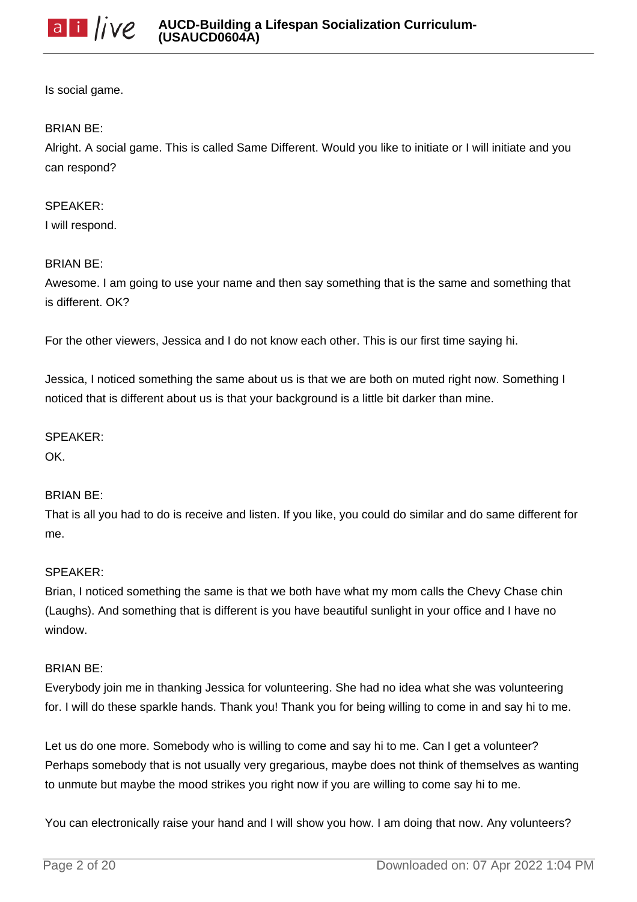

Is social game.

## BRIAN BE:

Alright. A social game. This is called Same Different. Would you like to initiate or I will initiate and you can respond?

# SPEAKER:

I will respond.

# BRIAN BE:

Awesome. I am going to use your name and then say something that is the same and something that is different. OK?

For the other viewers, Jessica and I do not know each other. This is our first time saying hi.

Jessica, I noticed something the same about us is that we are both on muted right now. Something I noticed that is different about us is that your background is a little bit darker than mine.

## SPEAKER:

OK.

# BRIAN BE:

That is all you had to do is receive and listen. If you like, you could do similar and do same different for me.

# SPEAKER:

Brian, I noticed something the same is that we both have what my mom calls the Chevy Chase chin (Laughs). And something that is different is you have beautiful sunlight in your office and I have no window.

### BRIAN BE:

Everybody join me in thanking Jessica for volunteering. She had no idea what she was volunteering for. I will do these sparkle hands. Thank you! Thank you for being willing to come in and say hi to me.

Let us do one more. Somebody who is willing to come and say hi to me. Can I get a volunteer? Perhaps somebody that is not usually very gregarious, maybe does not think of themselves as wanting to unmute but maybe the mood strikes you right now if you are willing to come say hi to me.

You can electronically raise your hand and I will show you how. I am doing that now. Any volunteers?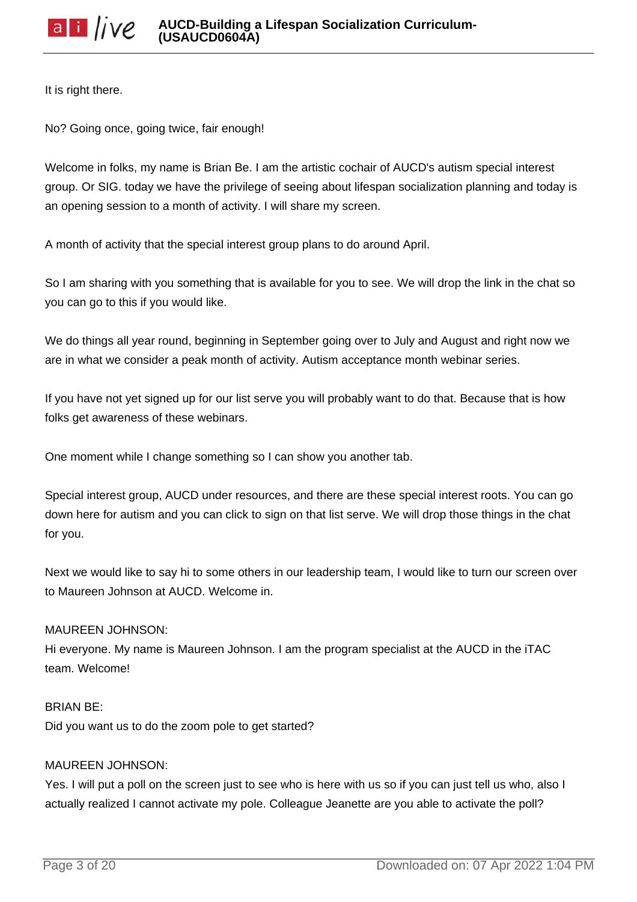It is right there.

No? Going once, going twice, fair enough!

Welcome in folks, my name is Brian Be. I am the artistic cochair of AUCD's autism special interest group. Or SIG. today we have the privilege of seeing about lifespan socialization planning and today is an opening session to a month of activity. I will share my screen.

A month of activity that the special interest group plans to do around April.

So I am sharing with you something that is available for you to see. We will drop the link in the chat so you can go to this if you would like.

We do things all year round, beginning in September going over to July and August and right now we are in what we consider a peak month of activity. Autism acceptance month webinar series.

If you have not yet signed up for our list serve you will probably want to do that. Because that is how folks get awareness of these webinars.

One moment while I change something so I can show you another tab.

Special interest group, AUCD under resources, and there are these special interest roots. You can go down here for autism and you can click to sign on that list serve. We will drop those things in the chat for you.

Next we would like to say hi to some others in our leadership team, I would like to turn our screen over to Maureen Johnson at AUCD. Welcome in.

# MAUREEN JOHNSON:

Hi everyone. My name is Maureen Johnson. I am the program specialist at the AUCD in the iTAC team. Welcome!

# BRIAN BE:

Did you want us to do the zoom pole to get started?

# MAUREEN JOHNSON:

Yes. I will put a poll on the screen just to see who is here with us so if you can just tell us who, also I actually realized I cannot activate my pole. Colleague Jeanette are you able to activate the poll?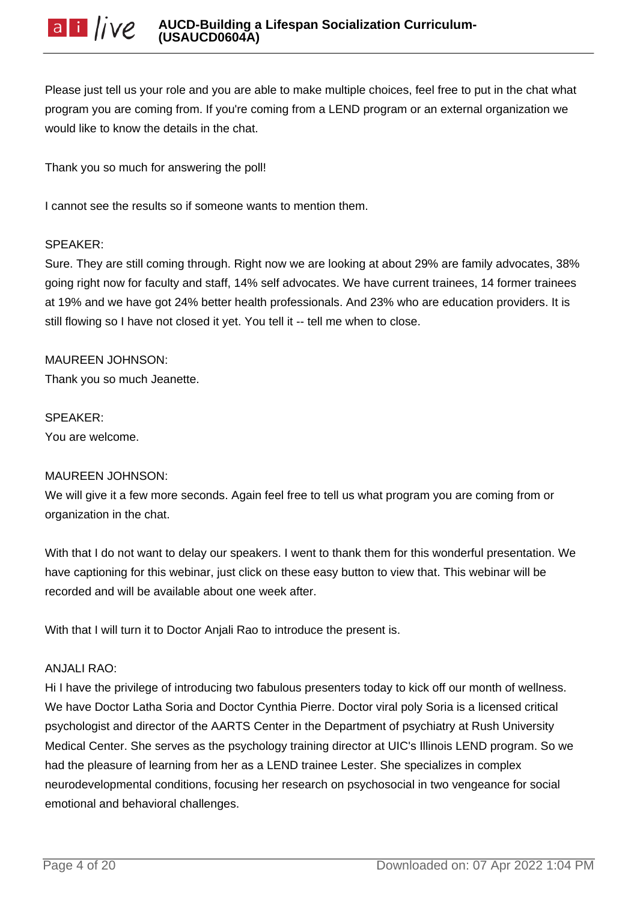Please just tell us your role and you are able to make multiple choices, feel free to put in the chat what program you are coming from. If you're coming from a LEND program or an external organization we would like to know the details in the chat.

Thank you so much for answering the poll!

I cannot see the results so if someone wants to mention them.

### SPEAKER:

Sure. They are still coming through. Right now we are looking at about 29% are family advocates, 38% going right now for faculty and staff, 14% self advocates. We have current trainees, 14 former trainees at 19% and we have got 24% better health professionals. And 23% who are education providers. It is still flowing so I have not closed it yet. You tell it -- tell me when to close.

MAUREEN JOHNSON: Thank you so much Jeanette.

SPEAKER: You are welcome.

# MAUREEN JOHNSON:

We will give it a few more seconds. Again feel free to tell us what program you are coming from or organization in the chat.

With that I do not want to delay our speakers. I went to thank them for this wonderful presentation. We have captioning for this webinar, just click on these easy button to view that. This webinar will be recorded and will be available about one week after.

With that I will turn it to Doctor Anjali Rao to introduce the present is.

### ANJALI RAO:

Hi I have the privilege of introducing two fabulous presenters today to kick off our month of wellness. We have Doctor Latha Soria and Doctor Cynthia Pierre. Doctor viral poly Soria is a licensed critical psychologist and director of the AARTS Center in the Department of psychiatry at Rush University Medical Center. She serves as the psychology training director at UIC's Illinois LEND program. So we had the pleasure of learning from her as a LEND trainee Lester. She specializes in complex neurodevelopmental conditions, focusing her research on psychosocial in two vengeance for social emotional and behavioral challenges.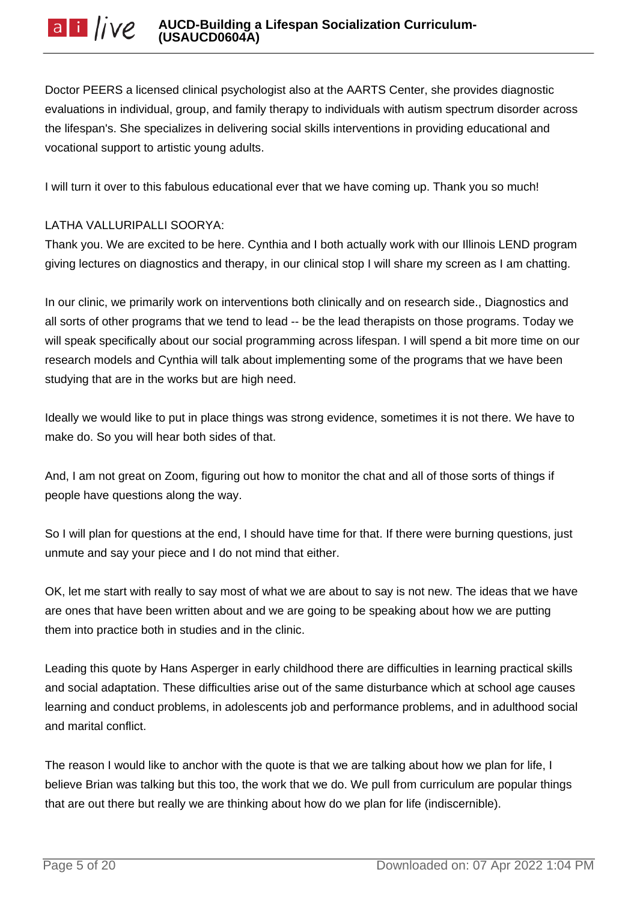Doctor PEERS a licensed clinical psychologist also at the AARTS Center, she provides diagnostic evaluations in individual, group, and family therapy to individuals with autism spectrum disorder across the lifespan's. She specializes in delivering social skills interventions in providing educational and vocational support to artistic young adults.

I will turn it over to this fabulous educational ever that we have coming up. Thank you so much!

# LATHA VALLURIPALLI SOORYA:

Thank you. We are excited to be here. Cynthia and I both actually work with our Illinois LEND program giving lectures on diagnostics and therapy, in our clinical stop I will share my screen as I am chatting.

In our clinic, we primarily work on interventions both clinically and on research side., Diagnostics and all sorts of other programs that we tend to lead -- be the lead therapists on those programs. Today we will speak specifically about our social programming across lifespan. I will spend a bit more time on our research models and Cynthia will talk about implementing some of the programs that we have been studying that are in the works but are high need.

Ideally we would like to put in place things was strong evidence, sometimes it is not there. We have to make do. So you will hear both sides of that.

And, I am not great on Zoom, figuring out how to monitor the chat and all of those sorts of things if people have questions along the way.

So I will plan for questions at the end, I should have time for that. If there were burning questions, just unmute and say your piece and I do not mind that either.

OK, let me start with really to say most of what we are about to say is not new. The ideas that we have are ones that have been written about and we are going to be speaking about how we are putting them into practice both in studies and in the clinic.

Leading this quote by Hans Asperger in early childhood there are difficulties in learning practical skills and social adaptation. These difficulties arise out of the same disturbance which at school age causes learning and conduct problems, in adolescents job and performance problems, and in adulthood social and marital conflict.

The reason I would like to anchor with the quote is that we are talking about how we plan for life, I believe Brian was talking but this too, the work that we do. We pull from curriculum are popular things that are out there but really we are thinking about how do we plan for life (indiscernible).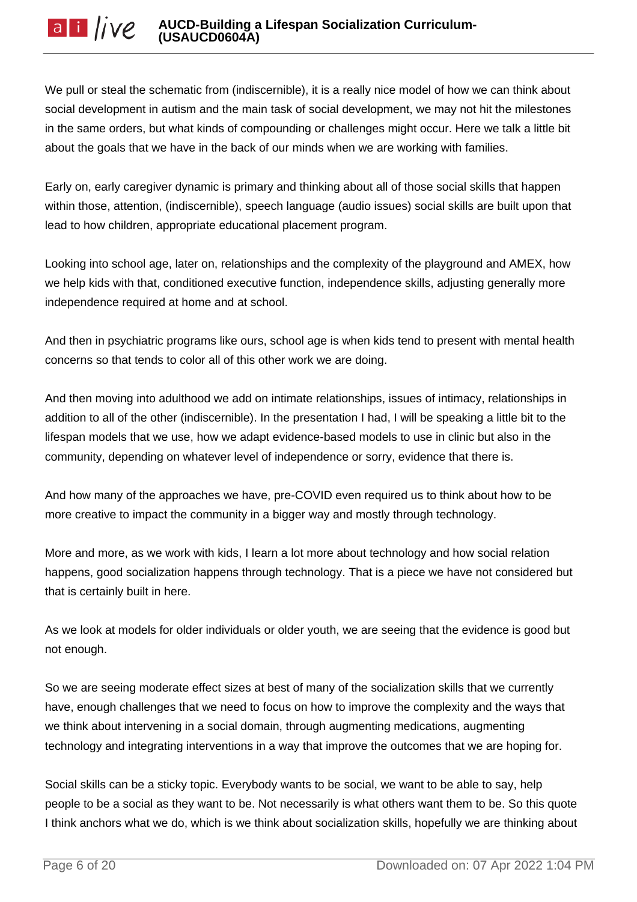We pull or steal the schematic from (indiscernible), it is a really nice model of how we can think about social development in autism and the main task of social development, we may not hit the milestones in the same orders, but what kinds of compounding or challenges might occur. Here we talk a little bit about the goals that we have in the back of our minds when we are working with families.

Early on, early caregiver dynamic is primary and thinking about all of those social skills that happen within those, attention, (indiscernible), speech language (audio issues) social skills are built upon that lead to how children, appropriate educational placement program.

Looking into school age, later on, relationships and the complexity of the playground and AMEX, how we help kids with that, conditioned executive function, independence skills, adjusting generally more independence required at home and at school.

And then in psychiatric programs like ours, school age is when kids tend to present with mental health concerns so that tends to color all of this other work we are doing.

And then moving into adulthood we add on intimate relationships, issues of intimacy, relationships in addition to all of the other (indiscernible). In the presentation I had, I will be speaking a little bit to the lifespan models that we use, how we adapt evidence-based models to use in clinic but also in the community, depending on whatever level of independence or sorry, evidence that there is.

And how many of the approaches we have, pre-COVID even required us to think about how to be more creative to impact the community in a bigger way and mostly through technology.

More and more, as we work with kids, I learn a lot more about technology and how social relation happens, good socialization happens through technology. That is a piece we have not considered but that is certainly built in here.

As we look at models for older individuals or older youth, we are seeing that the evidence is good but not enough.

So we are seeing moderate effect sizes at best of many of the socialization skills that we currently have, enough challenges that we need to focus on how to improve the complexity and the ways that we think about intervening in a social domain, through augmenting medications, augmenting technology and integrating interventions in a way that improve the outcomes that we are hoping for.

Social skills can be a sticky topic. Everybody wants to be social, we want to be able to say, help people to be a social as they want to be. Not necessarily is what others want them to be. So this quote I think anchors what we do, which is we think about socialization skills, hopefully we are thinking about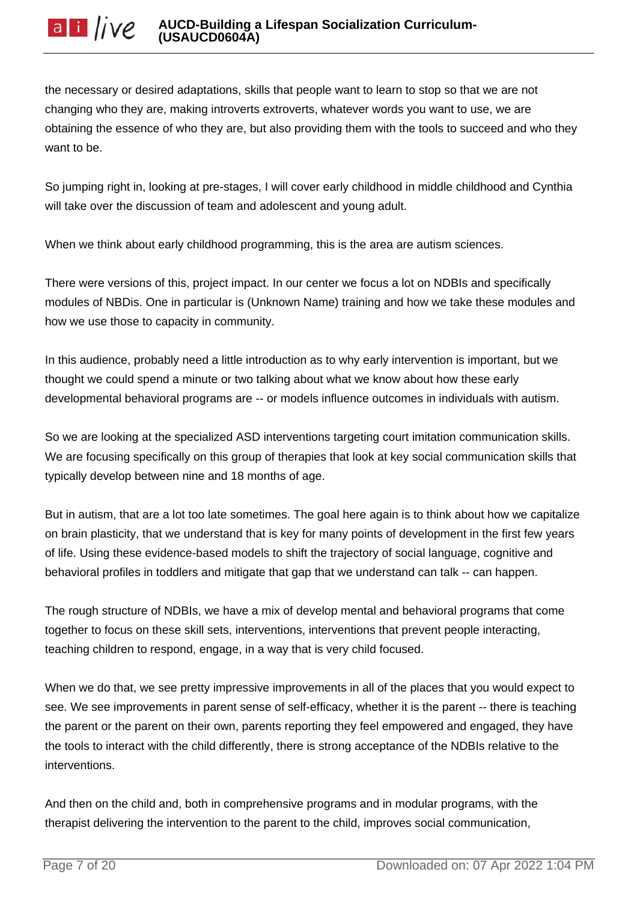the necessary or desired adaptations, skills that people want to learn to stop so that we are not changing who they are, making introverts extroverts, whatever words you want to use, we are obtaining the essence of who they are, but also providing them with the tools to succeed and who they want to be.

So jumping right in, looking at pre-stages, I will cover early childhood in middle childhood and Cynthia will take over the discussion of team and adolescent and young adult.

When we think about early childhood programming, this is the area are autism sciences.

There were versions of this, project impact. In our center we focus a lot on NDBIs and specifically modules of NBDis. One in particular is (Unknown Name) training and how we take these modules and how we use those to capacity in community.

In this audience, probably need a little introduction as to why early intervention is important, but we thought we could spend a minute or two talking about what we know about how these early developmental behavioral programs are -- or models influence outcomes in individuals with autism.

So we are looking at the specialized ASD interventions targeting court imitation communication skills. We are focusing specifically on this group of therapies that look at key social communication skills that typically develop between nine and 18 months of age.

But in autism, that are a lot too late sometimes. The goal here again is to think about how we capitalize on brain plasticity, that we understand that is key for many points of development in the first few years of life. Using these evidence-based models to shift the trajectory of social language, cognitive and behavioral profiles in toddlers and mitigate that gap that we understand can talk -- can happen.

The rough structure of NDBIs, we have a mix of develop mental and behavioral programs that come together to focus on these skill sets, interventions, interventions that prevent people interacting, teaching children to respond, engage, in a way that is very child focused.

When we do that, we see pretty impressive improvements in all of the places that you would expect to see. We see improvements in parent sense of self-efficacy, whether it is the parent -- there is teaching the parent or the parent on their own, parents reporting they feel empowered and engaged, they have the tools to interact with the child differently, there is strong acceptance of the NDBIs relative to the interventions.

And then on the child and, both in comprehensive programs and in modular programs, with the therapist delivering the intervention to the parent to the child, improves social communication,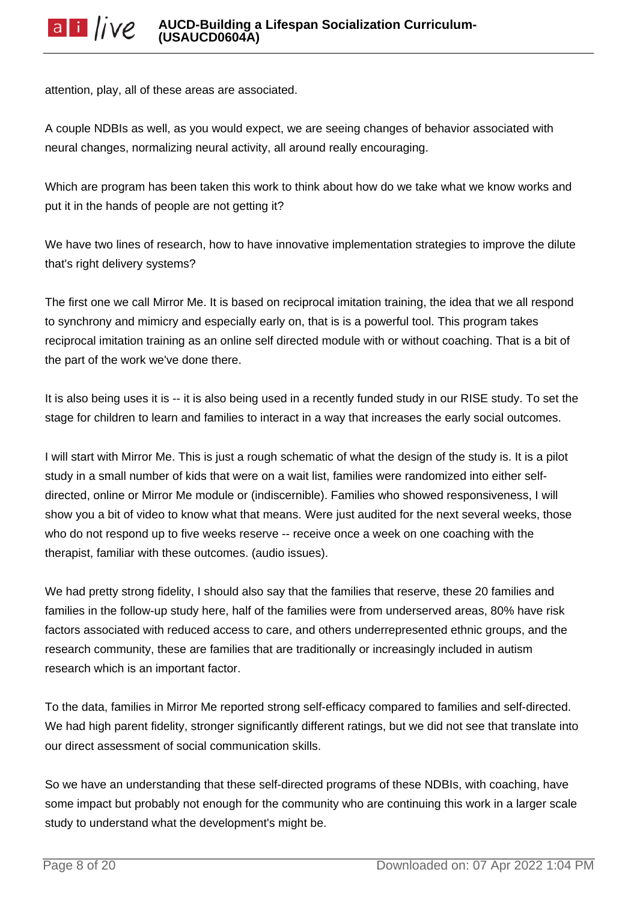attention, play, all of these areas are associated.

A couple NDBIs as well, as you would expect, we are seeing changes of behavior associated with neural changes, normalizing neural activity, all around really encouraging.

Which are program has been taken this work to think about how do we take what we know works and put it in the hands of people are not getting it?

We have two lines of research, how to have innovative implementation strategies to improve the dilute that's right delivery systems?

The first one we call Mirror Me. It is based on reciprocal imitation training, the idea that we all respond to synchrony and mimicry and especially early on, that is is a powerful tool. This program takes reciprocal imitation training as an online self directed module with or without coaching. That is a bit of the part of the work we've done there.

It is also being uses it is -- it is also being used in a recently funded study in our RISE study. To set the stage for children to learn and families to interact in a way that increases the early social outcomes.

I will start with Mirror Me. This is just a rough schematic of what the design of the study is. It is a pilot study in a small number of kids that were on a wait list, families were randomized into either selfdirected, online or Mirror Me module or (indiscernible). Families who showed responsiveness, I will show you a bit of video to know what that means. Were just audited for the next several weeks, those who do not respond up to five weeks reserve -- receive once a week on one coaching with the therapist, familiar with these outcomes. (audio issues).

We had pretty strong fidelity, I should also say that the families that reserve, these 20 families and families in the follow-up study here, half of the families were from underserved areas, 80% have risk factors associated with reduced access to care, and others underrepresented ethnic groups, and the research community, these are families that are traditionally or increasingly included in autism research which is an important factor.

To the data, families in Mirror Me reported strong self-efficacy compared to families and self-directed. We had high parent fidelity, stronger significantly different ratings, but we did not see that translate into our direct assessment of social communication skills.

So we have an understanding that these self-directed programs of these NDBIs, with coaching, have some impact but probably not enough for the community who are continuing this work in a larger scale study to understand what the development's might be.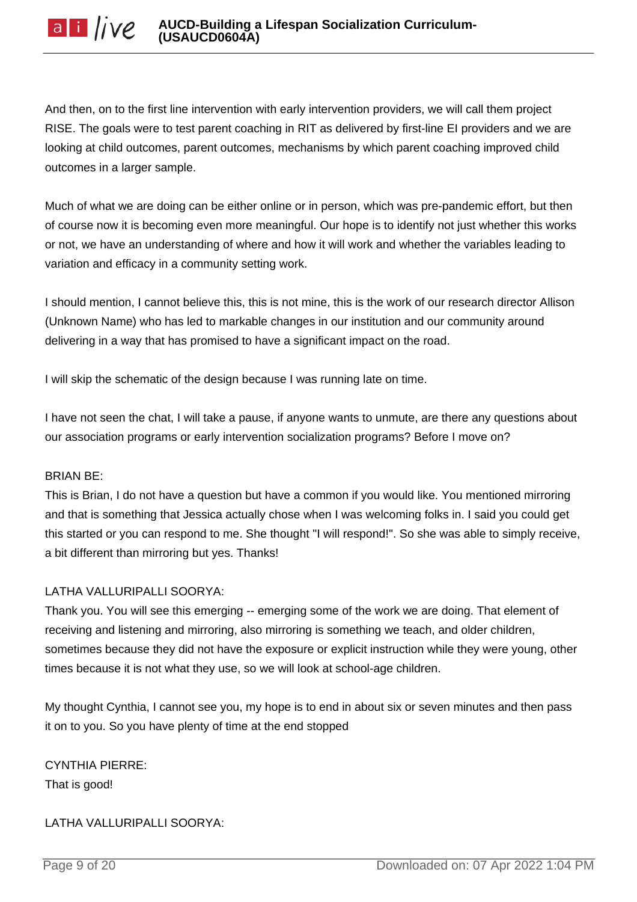And then, on to the first line intervention with early intervention providers, we will call them project RISE. The goals were to test parent coaching in RIT as delivered by first-line EI providers and we are looking at child outcomes, parent outcomes, mechanisms by which parent coaching improved child outcomes in a larger sample.

Much of what we are doing can be either online or in person, which was pre-pandemic effort, but then of course now it is becoming even more meaningful. Our hope is to identify not just whether this works or not, we have an understanding of where and how it will work and whether the variables leading to variation and efficacy in a community setting work.

I should mention, I cannot believe this, this is not mine, this is the work of our research director Allison (Unknown Name) who has led to markable changes in our institution and our community around delivering in a way that has promised to have a significant impact on the road.

I will skip the schematic of the design because I was running late on time.

I have not seen the chat, I will take a pause, if anyone wants to unmute, are there any questions about our association programs or early intervention socialization programs? Before I move on?

# BRIAN BE:

This is Brian, I do not have a question but have a common if you would like. You mentioned mirroring and that is something that Jessica actually chose when I was welcoming folks in. I said you could get this started or you can respond to me. She thought "I will respond!". So she was able to simply receive, a bit different than mirroring but yes. Thanks!

# LATHA VALLURIPALLI SOORYA:

Thank you. You will see this emerging -- emerging some of the work we are doing. That element of receiving and listening and mirroring, also mirroring is something we teach, and older children, sometimes because they did not have the exposure or explicit instruction while they were young, other times because it is not what they use, so we will look at school-age children.

My thought Cynthia, I cannot see you, my hope is to end in about six or seven minutes and then pass it on to you. So you have plenty of time at the end stopped

CYNTHIA PIERRE: That is good!

# LATHA VALLURIPALLI SOORYA: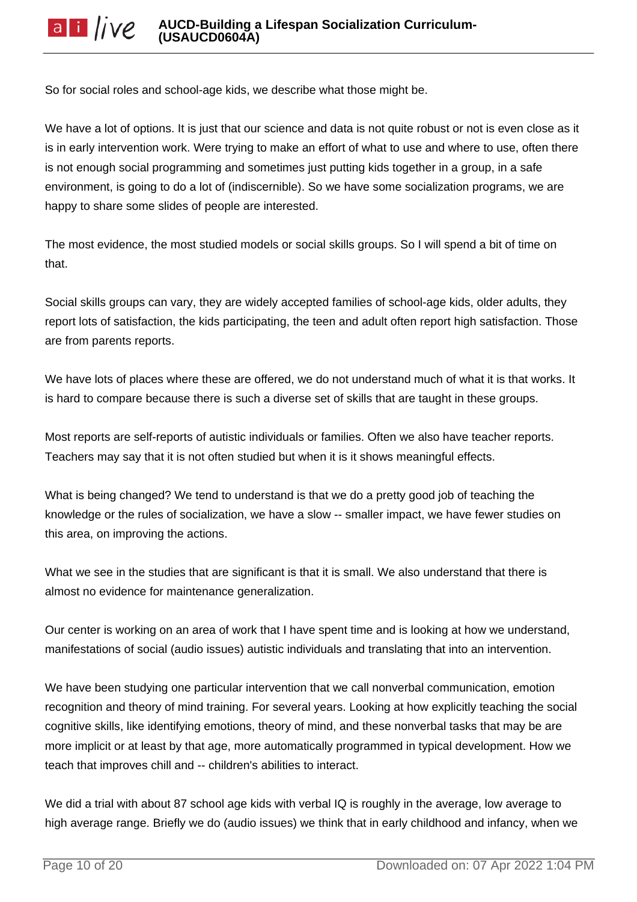So for social roles and school-age kids, we describe what those might be.

We have a lot of options. It is just that our science and data is not quite robust or not is even close as it is in early intervention work. Were trying to make an effort of what to use and where to use, often there is not enough social programming and sometimes just putting kids together in a group, in a safe environment, is going to do a lot of (indiscernible). So we have some socialization programs, we are happy to share some slides of people are interested.

The most evidence, the most studied models or social skills groups. So I will spend a bit of time on that.

Social skills groups can vary, they are widely accepted families of school-age kids, older adults, they report lots of satisfaction, the kids participating, the teen and adult often report high satisfaction. Those are from parents reports.

We have lots of places where these are offered, we do not understand much of what it is that works. It is hard to compare because there is such a diverse set of skills that are taught in these groups.

Most reports are self-reports of autistic individuals or families. Often we also have teacher reports. Teachers may say that it is not often studied but when it is it shows meaningful effects.

What is being changed? We tend to understand is that we do a pretty good job of teaching the knowledge or the rules of socialization, we have a slow -- smaller impact, we have fewer studies on this area, on improving the actions.

What we see in the studies that are significant is that it is small. We also understand that there is almost no evidence for maintenance generalization.

Our center is working on an area of work that I have spent time and is looking at how we understand, manifestations of social (audio issues) autistic individuals and translating that into an intervention.

We have been studying one particular intervention that we call nonverbal communication, emotion recognition and theory of mind training. For several years. Looking at how explicitly teaching the social cognitive skills, like identifying emotions, theory of mind, and these nonverbal tasks that may be are more implicit or at least by that age, more automatically programmed in typical development. How we teach that improves chill and -- children's abilities to interact.

We did a trial with about 87 school age kids with verbal IQ is roughly in the average, low average to high average range. Briefly we do (audio issues) we think that in early childhood and infancy, when we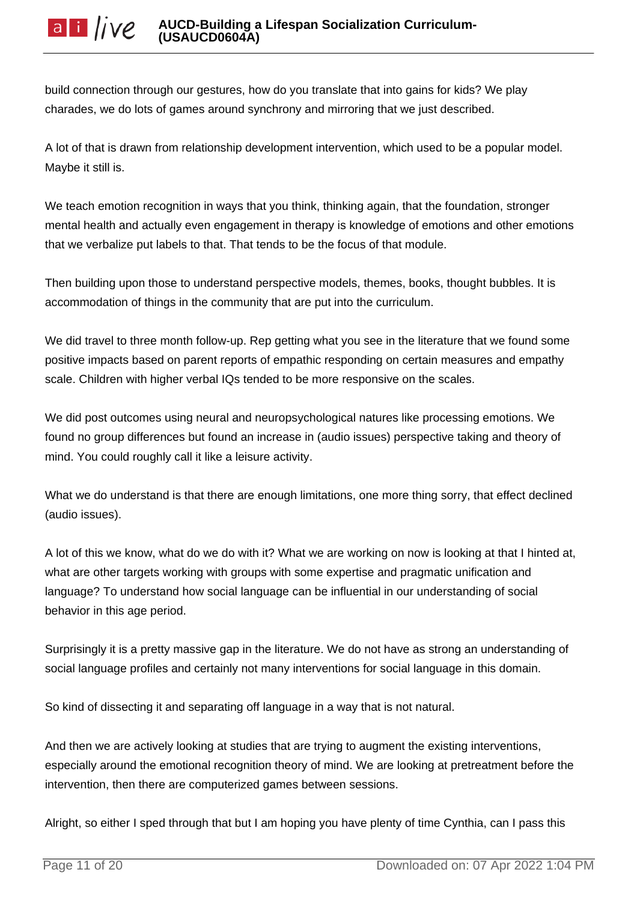build connection through our gestures, how do you translate that into gains for kids? We play charades, we do lots of games around synchrony and mirroring that we just described.

A lot of that is drawn from relationship development intervention, which used to be a popular model. Maybe it still is.

We teach emotion recognition in ways that you think, thinking again, that the foundation, stronger mental health and actually even engagement in therapy is knowledge of emotions and other emotions that we verbalize put labels to that. That tends to be the focus of that module.

Then building upon those to understand perspective models, themes, books, thought bubbles. It is accommodation of things in the community that are put into the curriculum.

We did travel to three month follow-up. Rep getting what you see in the literature that we found some positive impacts based on parent reports of empathic responding on certain measures and empathy scale. Children with higher verbal IQs tended to be more responsive on the scales.

We did post outcomes using neural and neuropsychological natures like processing emotions. We found no group differences but found an increase in (audio issues) perspective taking and theory of mind. You could roughly call it like a leisure activity.

What we do understand is that there are enough limitations, one more thing sorry, that effect declined (audio issues).

A lot of this we know, what do we do with it? What we are working on now is looking at that I hinted at, what are other targets working with groups with some expertise and pragmatic unification and language? To understand how social language can be influential in our understanding of social behavior in this age period.

Surprisingly it is a pretty massive gap in the literature. We do not have as strong an understanding of social language profiles and certainly not many interventions for social language in this domain.

So kind of dissecting it and separating off language in a way that is not natural.

And then we are actively looking at studies that are trying to augment the existing interventions, especially around the emotional recognition theory of mind. We are looking at pretreatment before the intervention, then there are computerized games between sessions.

Alright, so either I sped through that but I am hoping you have plenty of time Cynthia, can I pass this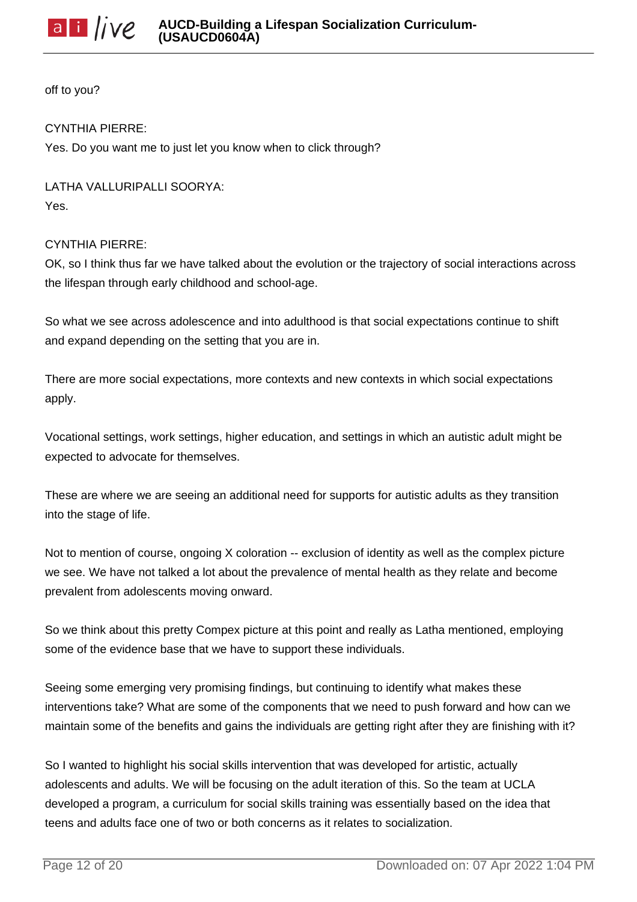

off to you?

# CYNTHIA PIERRE:

Yes. Do you want me to just let you know when to click through?

LATHA VALLURIPALLI SOORYA: Yes.

## CYNTHIA PIERRE:

OK, so I think thus far we have talked about the evolution or the trajectory of social interactions across the lifespan through early childhood and school-age.

So what we see across adolescence and into adulthood is that social expectations continue to shift and expand depending on the setting that you are in.

There are more social expectations, more contexts and new contexts in which social expectations apply.

Vocational settings, work settings, higher education, and settings in which an autistic adult might be expected to advocate for themselves.

These are where we are seeing an additional need for supports for autistic adults as they transition into the stage of life.

Not to mention of course, ongoing X coloration -- exclusion of identity as well as the complex picture we see. We have not talked a lot about the prevalence of mental health as they relate and become prevalent from adolescents moving onward.

So we think about this pretty Compex picture at this point and really as Latha mentioned, employing some of the evidence base that we have to support these individuals.

Seeing some emerging very promising findings, but continuing to identify what makes these interventions take? What are some of the components that we need to push forward and how can we maintain some of the benefits and gains the individuals are getting right after they are finishing with it?

So I wanted to highlight his social skills intervention that was developed for artistic, actually adolescents and adults. We will be focusing on the adult iteration of this. So the team at UCLA developed a program, a curriculum for social skills training was essentially based on the idea that teens and adults face one of two or both concerns as it relates to socialization.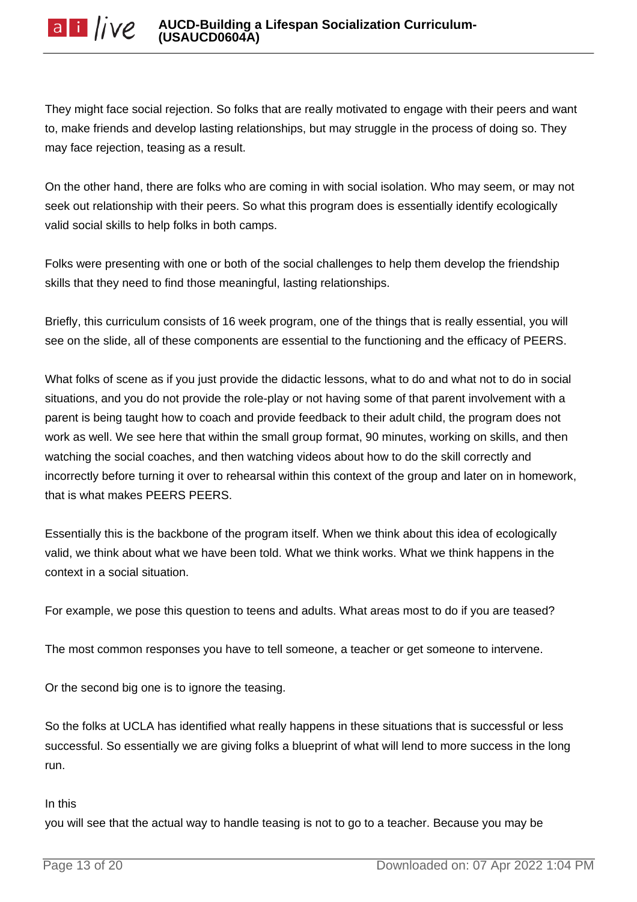They might face social rejection. So folks that are really motivated to engage with their peers and want to, make friends and develop lasting relationships, but may struggle in the process of doing so. They may face rejection, teasing as a result.

On the other hand, there are folks who are coming in with social isolation. Who may seem, or may not seek out relationship with their peers. So what this program does is essentially identify ecologically valid social skills to help folks in both camps.

Folks were presenting with one or both of the social challenges to help them develop the friendship skills that they need to find those meaningful, lasting relationships.

Briefly, this curriculum consists of 16 week program, one of the things that is really essential, you will see on the slide, all of these components are essential to the functioning and the efficacy of PEERS.

What folks of scene as if you just provide the didactic lessons, what to do and what not to do in social situations, and you do not provide the role-play or not having some of that parent involvement with a parent is being taught how to coach and provide feedback to their adult child, the program does not work as well. We see here that within the small group format, 90 minutes, working on skills, and then watching the social coaches, and then watching videos about how to do the skill correctly and incorrectly before turning it over to rehearsal within this context of the group and later on in homework, that is what makes PEERS PEERS.

Essentially this is the backbone of the program itself. When we think about this idea of ecologically valid, we think about what we have been told. What we think works. What we think happens in the context in a social situation.

For example, we pose this question to teens and adults. What areas most to do if you are teased?

The most common responses you have to tell someone, a teacher or get someone to intervene.

Or the second big one is to ignore the teasing.

So the folks at UCLA has identified what really happens in these situations that is successful or less successful. So essentially we are giving folks a blueprint of what will lend to more success in the long run.

### In this

you will see that the actual way to handle teasing is not to go to a teacher. Because you may be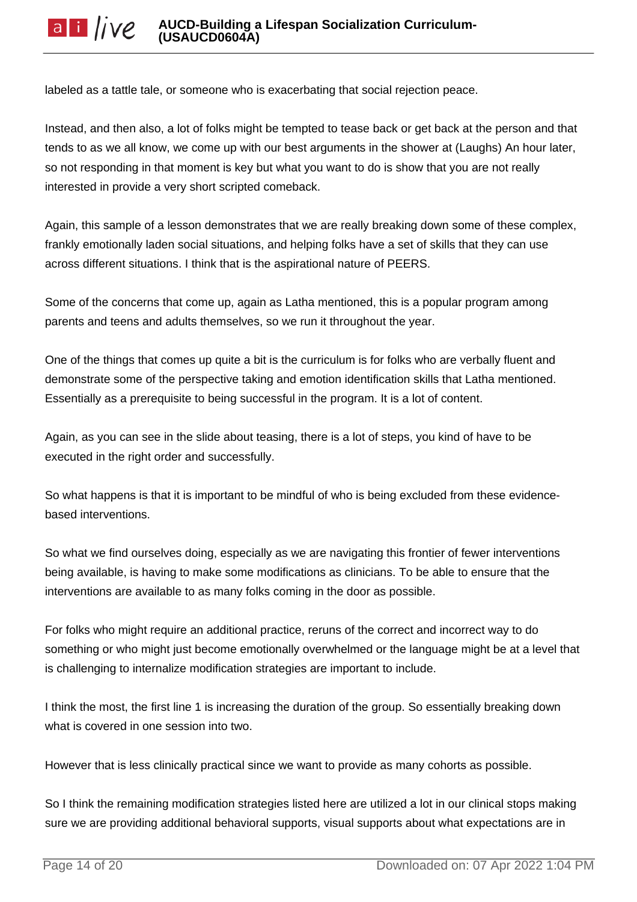labeled as a tattle tale, or someone who is exacerbating that social rejection peace.

Instead, and then also, a lot of folks might be tempted to tease back or get back at the person and that tends to as we all know, we come up with our best arguments in the shower at (Laughs) An hour later, so not responding in that moment is key but what you want to do is show that you are not really interested in provide a very short scripted comeback.

Again, this sample of a lesson demonstrates that we are really breaking down some of these complex, frankly emotionally laden social situations, and helping folks have a set of skills that they can use across different situations. I think that is the aspirational nature of PEERS.

Some of the concerns that come up, again as Latha mentioned, this is a popular program among parents and teens and adults themselves, so we run it throughout the year.

One of the things that comes up quite a bit is the curriculum is for folks who are verbally fluent and demonstrate some of the perspective taking and emotion identification skills that Latha mentioned. Essentially as a prerequisite to being successful in the program. It is a lot of content.

Again, as you can see in the slide about teasing, there is a lot of steps, you kind of have to be executed in the right order and successfully.

So what happens is that it is important to be mindful of who is being excluded from these evidencebased interventions.

So what we find ourselves doing, especially as we are navigating this frontier of fewer interventions being available, is having to make some modifications as clinicians. To be able to ensure that the interventions are available to as many folks coming in the door as possible.

For folks who might require an additional practice, reruns of the correct and incorrect way to do something or who might just become emotionally overwhelmed or the language might be at a level that is challenging to internalize modification strategies are important to include.

I think the most, the first line 1 is increasing the duration of the group. So essentially breaking down what is covered in one session into two.

However that is less clinically practical since we want to provide as many cohorts as possible.

So I think the remaining modification strategies listed here are utilized a lot in our clinical stops making sure we are providing additional behavioral supports, visual supports about what expectations are in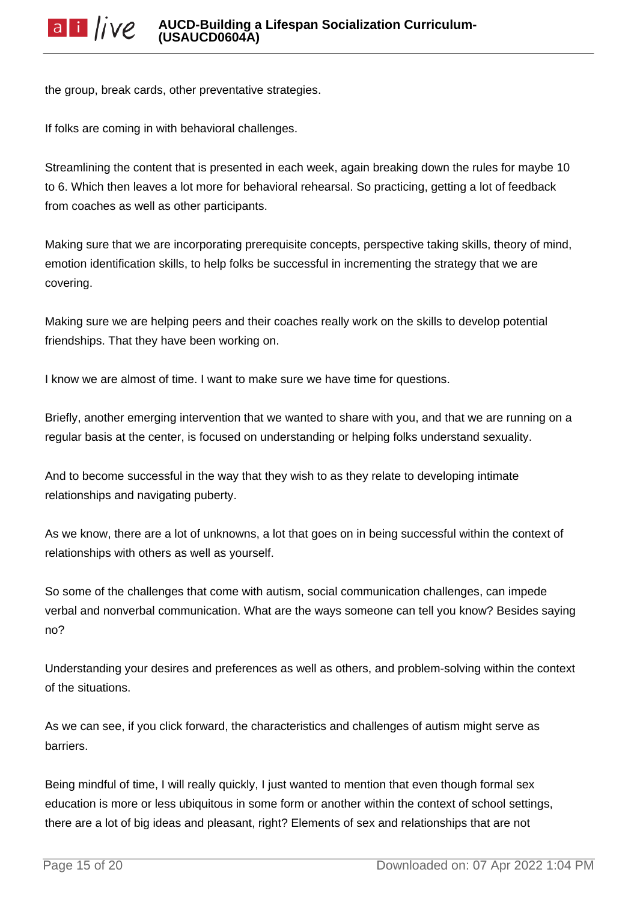the group, break cards, other preventative strategies.

If folks are coming in with behavioral challenges.

Streamlining the content that is presented in each week, again breaking down the rules for maybe 10 to 6. Which then leaves a lot more for behavioral rehearsal. So practicing, getting a lot of feedback from coaches as well as other participants.

Making sure that we are incorporating prerequisite concepts, perspective taking skills, theory of mind, emotion identification skills, to help folks be successful in incrementing the strategy that we are covering.

Making sure we are helping peers and their coaches really work on the skills to develop potential friendships. That they have been working on.

I know we are almost of time. I want to make sure we have time for questions.

Briefly, another emerging intervention that we wanted to share with you, and that we are running on a regular basis at the center, is focused on understanding or helping folks understand sexuality.

And to become successful in the way that they wish to as they relate to developing intimate relationships and navigating puberty.

As we know, there are a lot of unknowns, a lot that goes on in being successful within the context of relationships with others as well as yourself.

So some of the challenges that come with autism, social communication challenges, can impede verbal and nonverbal communication. What are the ways someone can tell you know? Besides saying no?

Understanding your desires and preferences as well as others, and problem-solving within the context of the situations.

As we can see, if you click forward, the characteristics and challenges of autism might serve as barriers.

Being mindful of time, I will really quickly, I just wanted to mention that even though formal sex education is more or less ubiquitous in some form or another within the context of school settings, there are a lot of big ideas and pleasant, right? Elements of sex and relationships that are not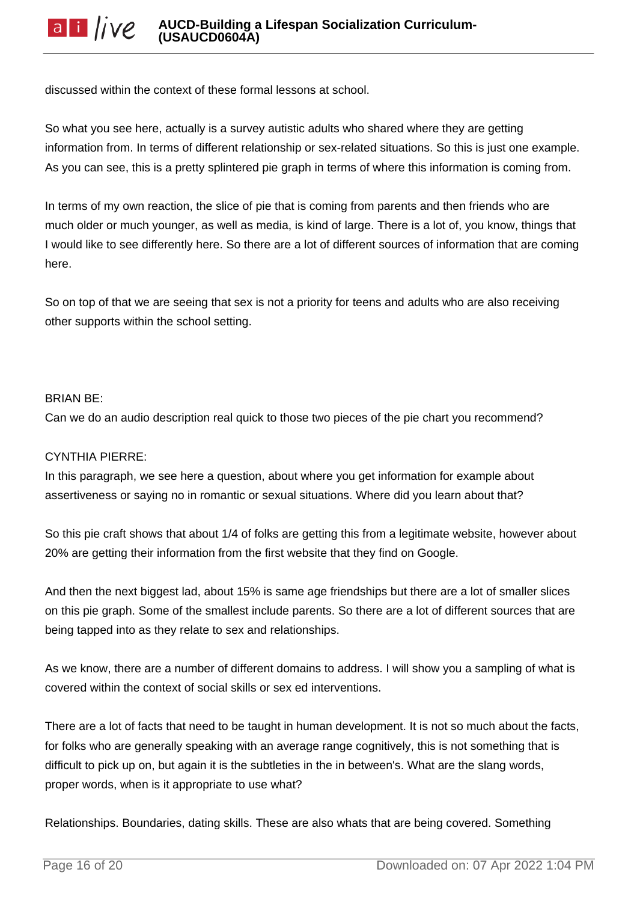discussed within the context of these formal lessons at school.

So what you see here, actually is a survey autistic adults who shared where they are getting information from. In terms of different relationship or sex-related situations. So this is just one example. As you can see, this is a pretty splintered pie graph in terms of where this information is coming from.

In terms of my own reaction, the slice of pie that is coming from parents and then friends who are much older or much younger, as well as media, is kind of large. There is a lot of, you know, things that I would like to see differently here. So there are a lot of different sources of information that are coming here.

So on top of that we are seeing that sex is not a priority for teens and adults who are also receiving other supports within the school setting.

# BRIAN BE:

Can we do an audio description real quick to those two pieces of the pie chart you recommend?

## CYNTHIA PIERRE:

In this paragraph, we see here a question, about where you get information for example about assertiveness or saying no in romantic or sexual situations. Where did you learn about that?

So this pie craft shows that about 1/4 of folks are getting this from a legitimate website, however about 20% are getting their information from the first website that they find on Google.

And then the next biggest lad, about 15% is same age friendships but there are a lot of smaller slices on this pie graph. Some of the smallest include parents. So there are a lot of different sources that are being tapped into as they relate to sex and relationships.

As we know, there are a number of different domains to address. I will show you a sampling of what is covered within the context of social skills or sex ed interventions.

There are a lot of facts that need to be taught in human development. It is not so much about the facts, for folks who are generally speaking with an average range cognitively, this is not something that is difficult to pick up on, but again it is the subtleties in the in between's. What are the slang words, proper words, when is it appropriate to use what?

Relationships. Boundaries, dating skills. These are also whats that are being covered. Something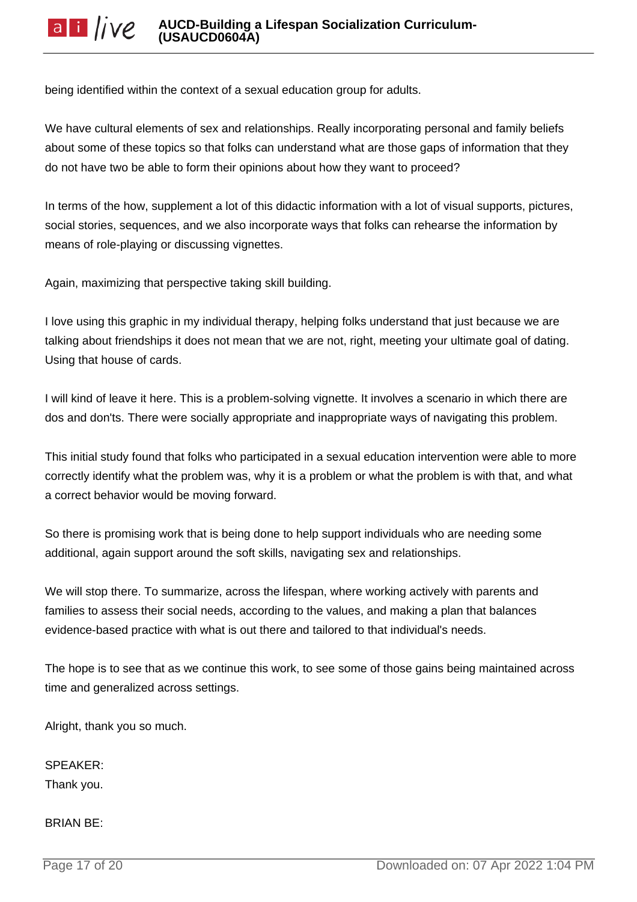being identified within the context of a sexual education group for adults.

We have cultural elements of sex and relationships. Really incorporating personal and family beliefs about some of these topics so that folks can understand what are those gaps of information that they do not have two be able to form their opinions about how they want to proceed?

In terms of the how, supplement a lot of this didactic information with a lot of visual supports, pictures, social stories, sequences, and we also incorporate ways that folks can rehearse the information by means of role-playing or discussing vignettes.

Again, maximizing that perspective taking skill building.

I love using this graphic in my individual therapy, helping folks understand that just because we are talking about friendships it does not mean that we are not, right, meeting your ultimate goal of dating. Using that house of cards.

I will kind of leave it here. This is a problem-solving vignette. It involves a scenario in which there are dos and don'ts. There were socially appropriate and inappropriate ways of navigating this problem.

This initial study found that folks who participated in a sexual education intervention were able to more correctly identify what the problem was, why it is a problem or what the problem is with that, and what a correct behavior would be moving forward.

So there is promising work that is being done to help support individuals who are needing some additional, again support around the soft skills, navigating sex and relationships.

We will stop there. To summarize, across the lifespan, where working actively with parents and families to assess their social needs, according to the values, and making a plan that balances evidence-based practice with what is out there and tailored to that individual's needs.

The hope is to see that as we continue this work, to see some of those gains being maintained across time and generalized across settings.

Alright, thank you so much.

SPEAKER: Thank you.

BRIAN BE: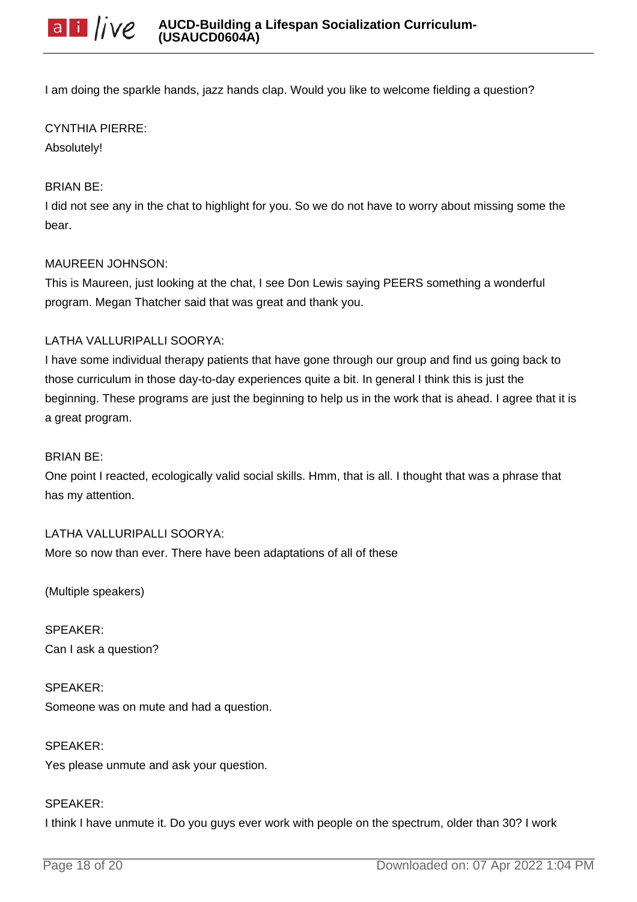I am doing the sparkle hands, jazz hands clap. Would you like to welcome fielding a question?

## CYNTHIA PIERRE:

Absolutely!

## BRIAN BE:

I did not see any in the chat to highlight for you. So we do not have to worry about missing some the bear.

### MAUREEN JOHNSON:

This is Maureen, just looking at the chat, I see Don Lewis saying PEERS something a wonderful program. Megan Thatcher said that was great and thank you.

# LATHA VALLURIPALLI SOORYA:

I have some individual therapy patients that have gone through our group and find us going back to those curriculum in those day-to-day experiences quite a bit. In general I think this is just the beginning. These programs are just the beginning to help us in the work that is ahead. I agree that it is a great program.

### BRIAN BE:

One point I reacted, ecologically valid social skills. Hmm, that is all. I thought that was a phrase that has my attention.

### LATHA VALLURIPALLI SOORYA:

More so now than ever. There have been adaptations of all of these

(Multiple speakers)

SPEAKER: Can I ask a question?

SPEAKER: Someone was on mute and had a question.

SPEAKER: Yes please unmute and ask your question.

### SPEAKER:

I think I have unmute it. Do you guys ever work with people on the spectrum, older than 30? I work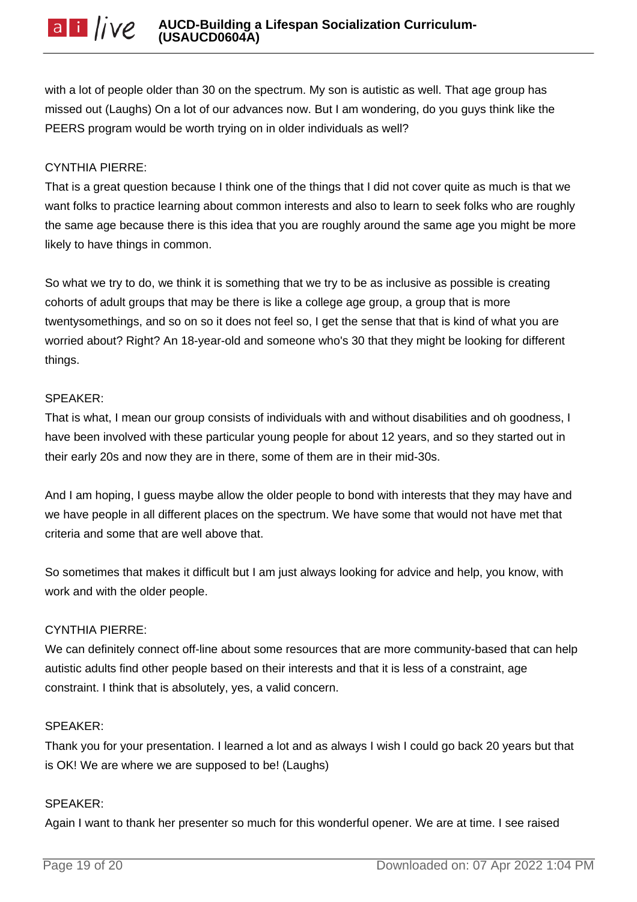with a lot of people older than 30 on the spectrum. My son is autistic as well. That age group has missed out (Laughs) On a lot of our advances now. But I am wondering, do you guys think like the PEERS program would be worth trying on in older individuals as well?

## CYNTHIA PIERRE:

That is a great question because I think one of the things that I did not cover quite as much is that we want folks to practice learning about common interests and also to learn to seek folks who are roughly the same age because there is this idea that you are roughly around the same age you might be more likely to have things in common.

So what we try to do, we think it is something that we try to be as inclusive as possible is creating cohorts of adult groups that may be there is like a college age group, a group that is more twentysomethings, and so on so it does not feel so, I get the sense that that is kind of what you are worried about? Right? An 18-year-old and someone who's 30 that they might be looking for different things.

## SPEAKER:

That is what, I mean our group consists of individuals with and without disabilities and oh goodness, I have been involved with these particular young people for about 12 years, and so they started out in their early 20s and now they are in there, some of them are in their mid-30s.

And I am hoping, I guess maybe allow the older people to bond with interests that they may have and we have people in all different places on the spectrum. We have some that would not have met that criteria and some that are well above that.

So sometimes that makes it difficult but I am just always looking for advice and help, you know, with work and with the older people.

### CYNTHIA PIERRE:

We can definitely connect off-line about some resources that are more community-based that can help autistic adults find other people based on their interests and that it is less of a constraint, age constraint. I think that is absolutely, yes, a valid concern.

### SPEAKER:

Thank you for your presentation. I learned a lot and as always I wish I could go back 20 years but that is OK! We are where we are supposed to be! (Laughs)

### SPEAKER:

Again I want to thank her presenter so much for this wonderful opener. We are at time. I see raised